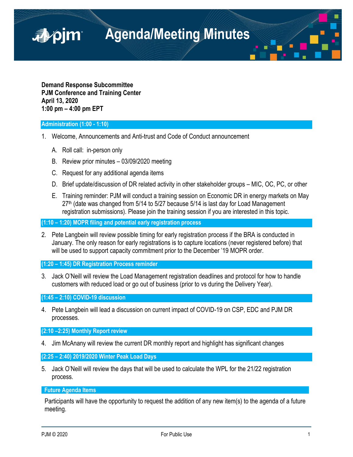**Agenda/Meeting Minutes**

**Demand Response Subcommittee PJM Conference and Training Center April 13, 2020 1:00 pm – 4:00 pm EPT**

# **Administration (1:00 - 1:10)**

■pjm

- 1. Welcome, Announcements and Anti-trust and Code of Conduct announcement
	- A. Roll call: in-person only
	- B. Review prior minutes 03/09/2020 meeting
	- C. Request for any additional agenda items
	- D. Brief update/discussion of DR related activity in other stakeholder groups MIC, OC, PC, or other
	- E. Training reminder: PJM will conduct a training session on Economic DR in energy markets on May  $27<sup>th</sup>$  (date was changed from 5/14 to 5/27 because 5/14 is last day for Load Management registration submissions). Please join the training session if you are interested in this topic.

**(1:10 – 1:20) MOPR filing and potential early registration process**

2. Pete Langbein will review possible timing for early registration process if the BRA is conducted in January. The only reason for early registrations is to capture locations (never registered before) that will be used to support capacity commitment prior to the December '19 MOPR order.

**(1:20 – 1:45) DR Registration Process reminder**

3. Jack O'Neill will review the Load Management registration deadlines and protocol for how to handle customers with reduced load or go out of business (prior to vs during the Delivery Year).

**(1:45 – 2:10) COVID-19 discussion**

4. Pete Langbein will lead a discussion on current impact of COVID-19 on CSP, EDC and PJM DR processes.

**(2:10 –2:25) Monthly Report review**

4. Jim McAnany will review the current DR monthly report and highlight has significant changes

**(2:25 – 2:40) 2019/2020 Winter Peak Load Days**

5. Jack O'Neill will review the days that will be used to calculate the WPL for the 21/22 registration process.

**Future Agenda Items** 

Participants will have the opportunity to request the addition of any new item(s) to the agenda of a future meeting.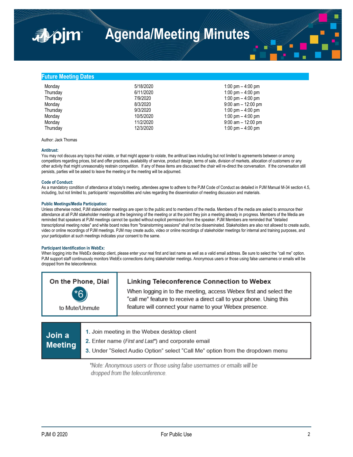# **Future Meeting Dates**

⊿≱⁄ojm

| Monday   | 5/18/2020 | 1:00 pm $-$ 4:00 pm   |
|----------|-----------|-----------------------|
| Thursday | 6/11/2020 | 1:00 pm $-$ 4:00 pm   |
| Thursday | 7/9/2020  | 1:00 pm $-$ 4:00 pm   |
| Monday   | 8/3/2020  | $9:00$ am $-12:00$ pm |
| Thursday | 9/3/2020  | 1:00 pm $-$ 4:00 pm   |
| Monday   | 10/5/2020 | 1:00 pm $-$ 4:00 pm   |
| Monday   | 11/2/2020 | $9:00$ am $-12:00$ pm |
| Thursday | 12/3/2020 | 1:00 pm $-$ 4:00 pm   |

Author: Jack Thomas

# **Antitrust:**

You may not discuss any topics that violate, or that might appear to violate, the antitrust laws including but not limited to agreements between or among competitors regarding prices, bid and offer practices, availability of service, product design, terms of sale, division of markets, allocation of customers or any other activity that might unreasonably restrain competition. If any of these items are discussed the chair will re-direct the conversation. If the conversation still persists, parties will be asked to leave the meeting or the meeting will be adjourned.

#### **Code of Conduct:**

As a mandatory condition of attendance at today's meeting, attendees agree to adhere to the PJM Code of Conduct as detailed in PJM Manual M-34 section 4.5, including, but not limited to, participants' responsibilities and rules regarding the dissemination of meeting discussion and materials.

# **Public Meetings/Media Participation:**

Unless otherwise noted, PJM stakeholder meetings are open to the public and to members of the media. Members of the media are asked to announce their attendance at all PJM stakeholder meetings at the beginning of the meeting or at the point they join a meeting already in progress. Members of the Media are reminded that speakers at PJM meetings cannot be quoted without explicit permission from the speaker. PJM Members are reminded that "detailed transcriptional meeting notes" and white board notes from "brainstorming sessions" shall not be disseminated. Stakeholders are also not allowed to create audio, video or online recordings of PJM meetings. PJM may create audio, video or online recordings of stakeholder meetings for internal and training purposes, and your participation at such meetings indicates your consent to the same.

# **Participant Identification in WebEx:**

When logging into the WebEx desktop client, please enter your real first and last name as well as a valid email address. Be sure to select the "call me" option. PJM support staff continuously monitors WebEx connections during stakeholder meetings. Anonymous users or those using false usernames or emails will be dropped from the teleconference.

| On the Phone, Dial<br>*ᠷ<br>to Mute/Unmute | <b>Linking Teleconference Connection to Webex</b><br>When logging in to the meeting, access Webex first and select the<br>"call me" feature to receive a direct call to your phone. Using this<br>feature will connect your name to your Webex presence. |
|--------------------------------------------|----------------------------------------------------------------------------------------------------------------------------------------------------------------------------------------------------------------------------------------------------------|
|                                            |                                                                                                                                                                                                                                                          |
|                                            |                                                                                                                                                                                                                                                          |

| 1. Join meeting in the Webex desktop client<br>⊾Join a l<br><b>2.</b> Enter name ( <i>First and Last</i> *) and corporate email<br><b>Meeting</b><br>3. Under "Select Audio Option" select "Call Me" option from the dropdown menu |
|------------------------------------------------------------------------------------------------------------------------------------------------------------------------------------------------------------------------------------|
|------------------------------------------------------------------------------------------------------------------------------------------------------------------------------------------------------------------------------------|

\*Note: Anonymous users or those using false usernames or emails will be dropped from the teleconference.